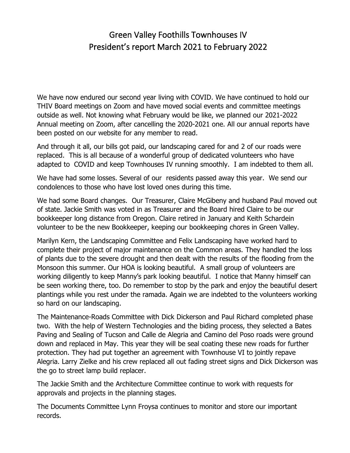## Green Valley Foothills Townhouses IV President's report March 2021 to February 2022

We have now endured our second year living with COVID. We have continued to hold our THIV Board meetings on Zoom and have moved social events and committee meetings outside as well. Not knowing what February would be like, we planned our 2021-2022 Annual meeting on Zoom, after cancelling the 2020-2021 one. All our annual reports have been posted on our website for any member to read.

And through it all, our bills got paid, our landscaping cared for and 2 of our roads were replaced. This is all because of a wonderful group of dedicated volunteers who have adapted to COVID and keep Townhouses IV running smoothly. I am indebted to them all.

We have had some losses. Several of our residents passed away this year. We send our condolences to those who have lost loved ones during this time.

We had some Board changes. Our Treasurer, Claire McGibeny and husband Paul moved out of state. Jackie Smith was voted in as Treasurer and the Board hired Claire to be our bookkeeper long distance from Oregon. Claire retired in January and Keith Schardein volunteer to be the new Bookkeeper, keeping our bookkeeping chores in Green Valley.

Marilyn Kern, the Landscaping Committee and Felix Landscaping have worked hard to complete their project of major maintenance on the Common areas. They handled the loss of plants due to the severe drought and then dealt with the results of the flooding from the Monsoon this summer. Our HOA is looking beautiful. A small group of volunteers are working diligently to keep Manny's park looking beautiful. I notice that Manny himself can be seen working there, too. Do remember to stop by the park and enjoy the beautiful desert plantings while you rest under the ramada. Again we are indebted to the volunteers working so hard on our landscaping.

The Maintenance-Roads Committee with Dick Dickerson and Paul Richard completed phase two. With the help of Western Technologies and the biding process, they selected a Bates Paving and Sealing of Tucson and Calle de Alegria and Camino del Poso roads were ground down and replaced in May. This year they will be seal coating these new roads for further protection. They had put together an agreement with Townhouse VI to jointly repave Alegria. Larry Zielke and his crew replaced all out fading street signs and Dick Dickerson was the go to street lamp build replacer.

The Jackie Smith and the Architecture Committee continue to work with requests for approvals and projects in the planning stages.

The Documents Committee Lynn Froysa continues to monitor and store our important records.